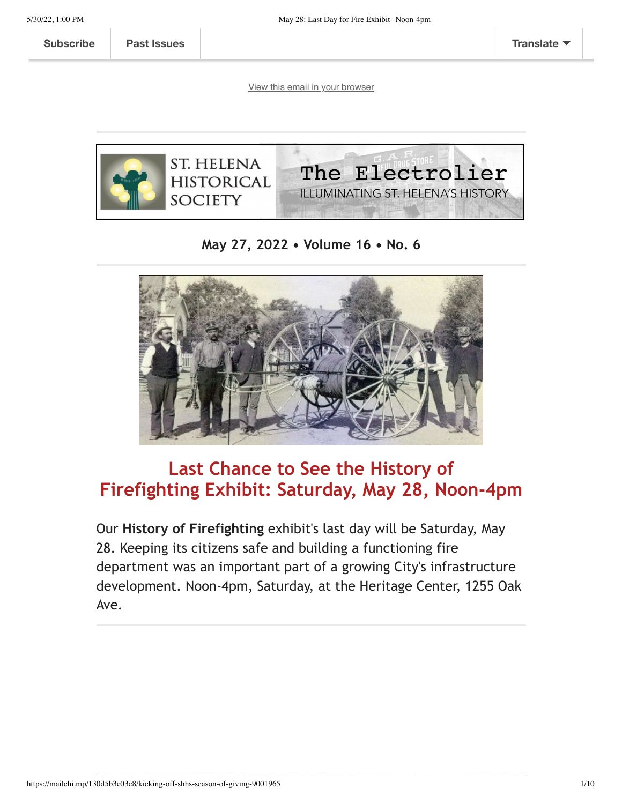**[Subscribe](http://eepurl.com/hOIaI9) Past [Issues](https://us5.campaign-archive.com/home/?u=b47d3a84b3d25889c7c0151f6&id=f91e786b03) [Translate](javascript:;)**

[View this email in your browser](https://mailchi.mp/130d5b3c03c8/kicking-off-shhs-season-of-giving-9001965?e=[UNIQID])



**May 27, 2022 • Volume 16 • No. 6**



# **Last Chance to See the History of Firefighting Exhibit: Saturday, May 28, Noon-4pm**

Our **History of Firefighting** exhibit's last day will be Saturday, May 28. Keeping its citizens safe and building a functioning fire department was an important part of a growing City's infrastructure development. Noon-4pm, Saturday, at the Heritage Center, 1255 Oak Ave.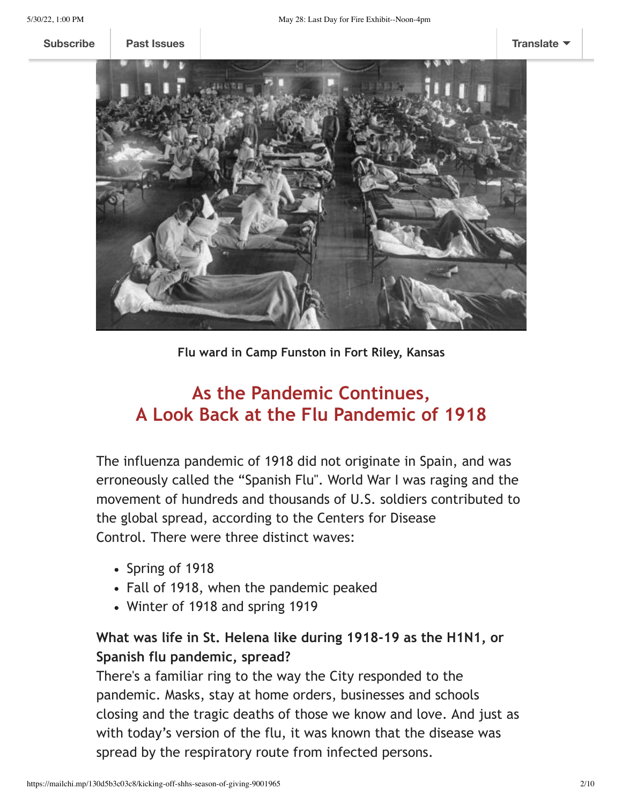**[Subscribe](http://eepurl.com/hOIaI9) Past [Issues](https://us5.campaign-archive.com/home/?u=b47d3a84b3d25889c7c0151f6&id=f91e786b03) [Translate](javascript:;)**



**Flu ward in Camp Funston in Fort Riley, Kansas**

## **As the Pandemic Continues, A Look Back at the Flu Pandemic of 1918**

The influenza pandemic of 1918 did not originate in Spain, and was erroneously called the "Spanish Flu". World War I was raging and the movement of hundreds and thousands of U.S. soldiers contributed to the global spread, according to the Centers for Disease Control. There were three distinct waves:

- Spring of 1918
- Fall of 1918, when the pandemic peaked
- Winter of 1918 and spring 1919

### **What was life in St. Helena like during 1918-19 as the H1N1, or Spanish flu pandemic, spread?**

There's a familiar ring to the way the City responded to the pandemic. Masks, stay at home orders, businesses and schools closing and the tragic deaths of those we know and love. And just as with today's version of the flu, it was known that the disease was spread by the respiratory route from infected persons.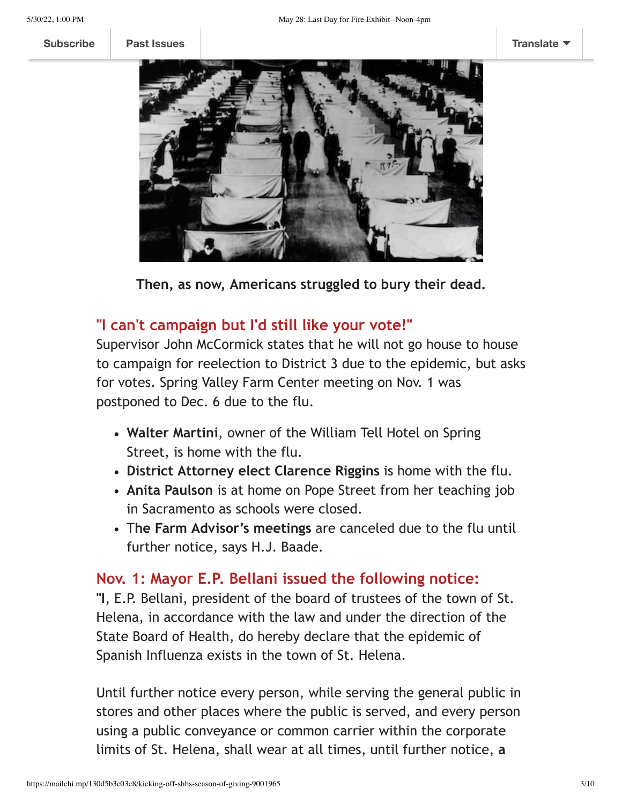

**Then, as now, Americans struggled to bury their dead.**

### **"I can't campaign but I'd still like your vote!"**

Supervisor John McCormick states that he will not go house to house to campaign for reelection to District 3 due to the epidemic, but asks for votes. Spring Valley Farm Center meeting on Nov. 1 was postponed to Dec. 6 due to the flu.

- **Walter Martini**, owner of the William Tell Hotel on Spring Street, is home with the flu.
- **District Attorney elect Clarence Riggins** is home with the flu.
- **Anita Paulson** is at home on Pope Street from her teaching job in Sacramento as schools were closed.
- T**he Farm Advisor's meetings** are canceled due to the flu until further notice, says H.J. Baade.

#### **Nov. 1: Mayor E.P. Bellani issued the following notice:**

**"I**, E.P. Bellani, president of the board of trustees of the town of St. Helena, in accordance with the law and under the direction of the State Board of Health, do hereby declare that the epidemic of Spanish Influenza exists in the town of St. Helena.

Until further notice every person, while serving the general public in stores and other places where the public is served, and every person using a public conveyance or common carrier within the corporate limits of St. Helena, shall wear at all times, until further notice, **a**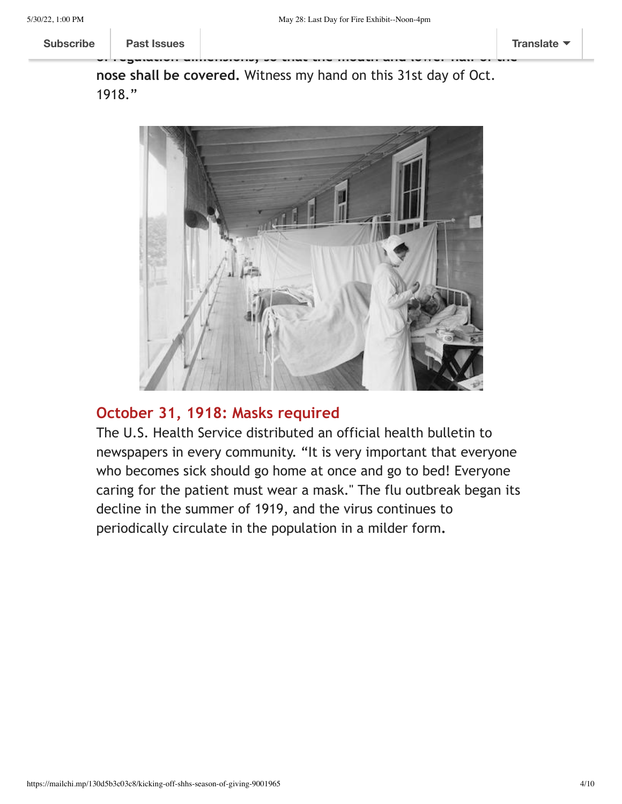**nose shall be covered.** Witness my hand on this 31st day of Oct. 1918."

**of regulation dimensions, so that the mouth and lower half of the**



### **October 31, 1918: Masks required**

The U.S. Health Service distributed an official health bulletin to newspapers in every community. "It is very important that everyone who becomes sick should go home at once and go to bed! Everyone caring for the patient must wear a mask." The flu outbreak began its decline in the summer of 1919, and the virus continues to periodically circulate in the population in a milder form**.**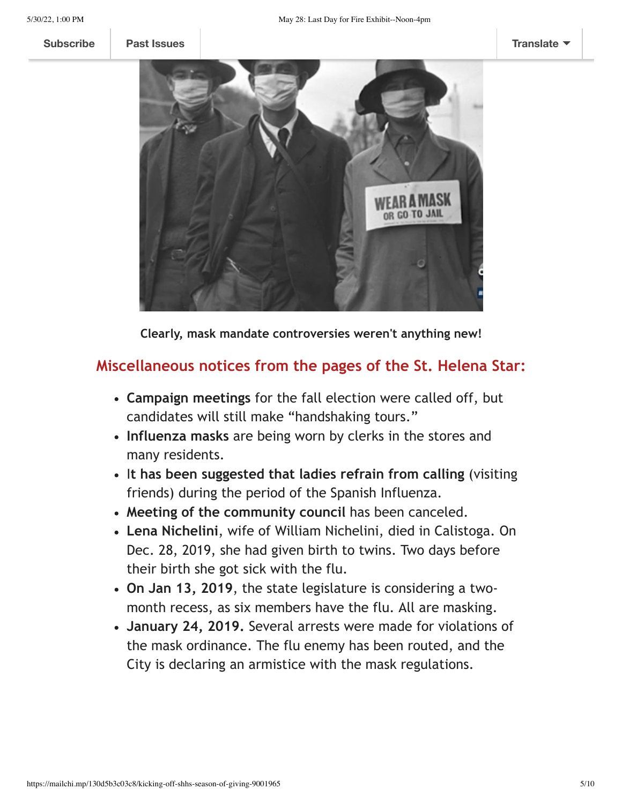

**Clearly, mask mandate controversies weren't anything new!**

### **Miscellaneous notices from the pages of the St. Helena Star:**

- **Campaign meetings** for the fall election were called off, but candidates will still make "handshaking tours."
- **Influenza masks** are being worn by clerks in the stores and many residents.
- I**t has been suggested that ladies refrain from calling** (visiting friends) during the period of the Spanish Influenza.
- **Meeting of the community council** has been canceled.
- **Lena Nichelini**, wife of William Nichelini, died in Calistoga. On Dec. 28, 2019, she had given birth to twins. Two days before their birth she got sick with the flu.
- **On Jan 13, 2019**, the state legislature is considering a twomonth recess, as six members have the flu. All are masking.
- **January 24, 2019.** Several arrests were made for violations of the mask ordinance. The flu enemy has been routed, and the City is declaring an armistice with the mask regulations.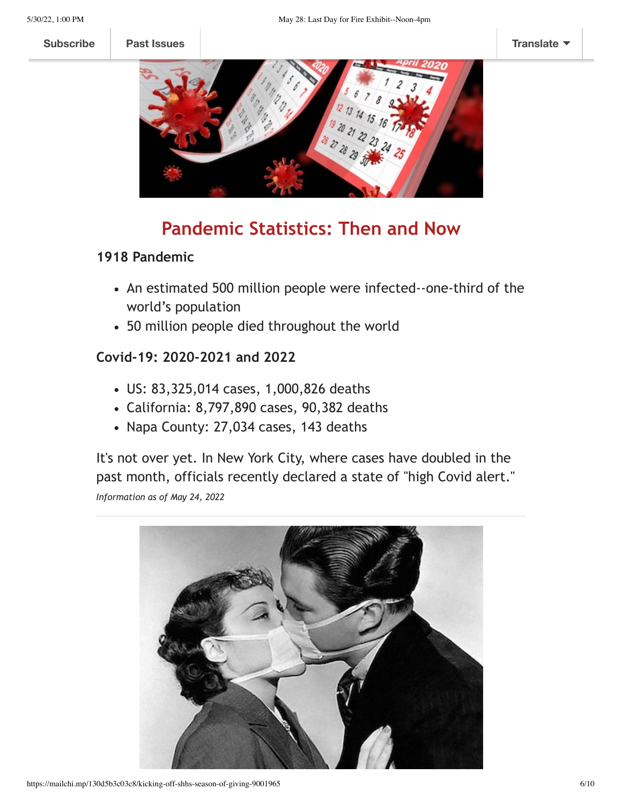**[Subscribe](http://eepurl.com/hOIaI9) Past [Issues](https://us5.campaign-archive.com/home/?u=b47d3a84b3d25889c7c0151f6&id=f91e786b03) [Translate](javascript:;)**



### **Pandemic Statistics: Then and Now**

#### **1918 Pandemic**

- An estimated 500 million people were infected--one-third of the world's population
- 50 million people died throughout the world

#### **Covid-19: 2020-2021 and 2022**

- US: 83,325,014 cases, 1,000,826 deaths
- California: 8,797,890 cases, 90,382 deaths
- Napa County: 27,034 cases, 143 deaths

It's not over yet. In New York City, where cases have doubled in the past month, officials recently declared a state of "high Covid alert." *Information as of May 24, 2022*

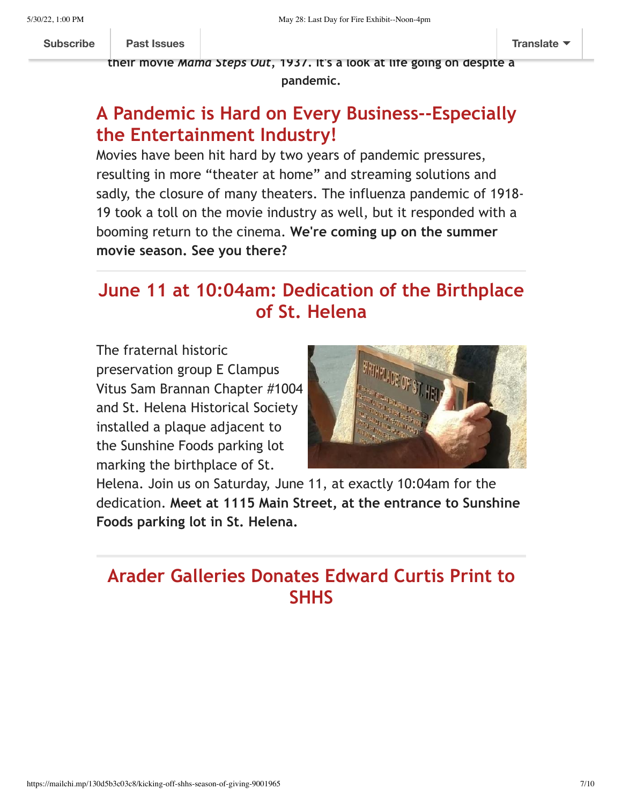**their movie** *Mama Steps Out***, 1937. It's a look at life going on despite a**

**pandemic.**

# **A Pandemic is Hard on Every Business--Especially the Entertainment Industry!**

Movies have been hit hard by two years of pandemic pressures, resulting in more "theater at home" and streaming solutions and sadly, the closure of many theaters. The influenza pandemic of 1918- 19 took a toll on the movie industry as well, but it responded with a booming return to the cinema. **We're coming up on the summer movie season. See you there?** 

# **June 11 at 10:04am: Dedication of the Birthplace of St. Helena**

The fraternal historic preservation group E Clampus Vitus Sam Brannan Chapter #1004 and St. Helena Historical Society installed a plaque adjacent to the Sunshine Foods parking lot marking the birthplace of St.



Helena. Join us on Saturday, June 11, at exactly 10:04am for the dedication. **Meet at 1115 Main Street, at the entrance to Sunshine Foods parking lot in St. Helena.**

## **Arader Galleries Donates Edward Curtis Print to SHHS**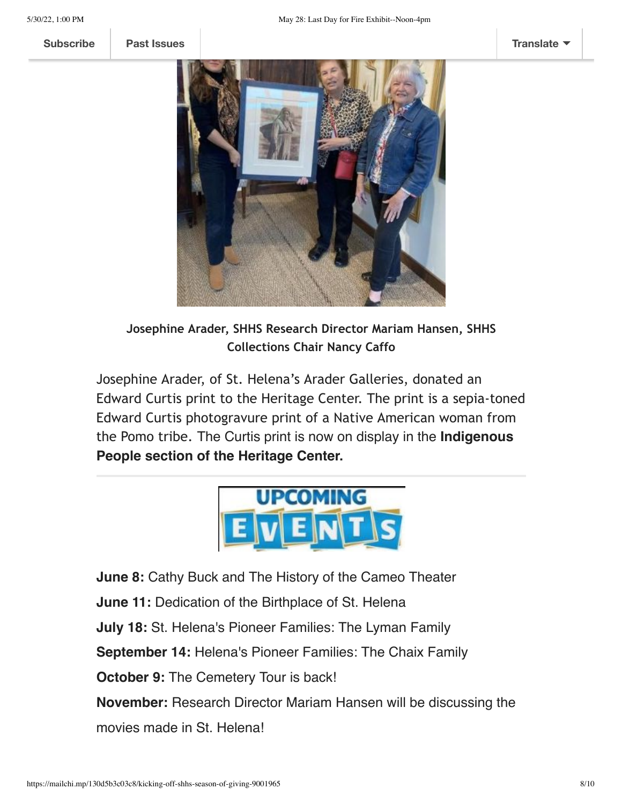

**Josephine Arader, SHHS Research Director Mariam Hansen, SHHS Collections Chair Nancy Caffo**

Josephine Arader, of St. Helena's Arader Galleries, donated an Edward Curtis print to the Heritage Center. The print is a sepia-toned Edward Curtis photogravure print of a Native American woman from the Pomo tribe. The Curtis print is now on display in the **Indigenous People section of the Heritage Center.**



**June 8:** Cathy Buck and The History of the Cameo Theater

**June 11:** Dedication of the Birthplace of St. Helena

**July 18:** St. Helena's Pioneer Families: The Lyman Family

**September 14:** Helena's Pioneer Families: The Chaix Family

**October 9: The Cemetery Tour is back!** 

**November:** Research Director Mariam Hansen will be discussing the movies made in St. Helena!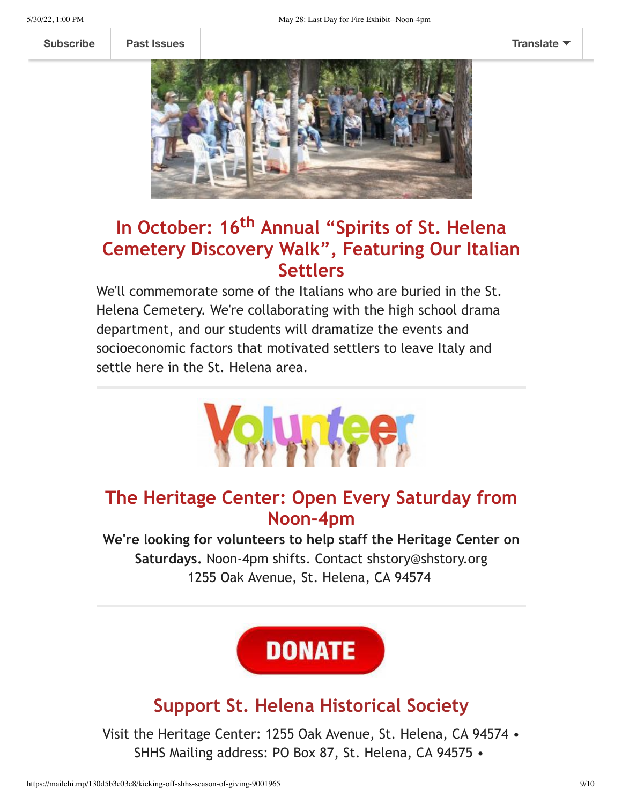

# **In October: 16th Annual "Spirits of St. Helena Cemetery Discovery Walk", Featuring Our Italian Settlers**

We'll commemorate some of the Italians who are buried in the St. Helena Cemetery. We're collaborating with the high school drama department, and our students will dramatize the events and socioeconomic factors that motivated settlers to leave Italy and settle here in the St. Helena area.



### **The Heritage Center: Open Every Saturday from Noon-4pm**

**We're looking for volunteers to help staff the Heritage Center on Saturdays.** Noon-4pm shifts. Contact shstory@shstory.org 1255 Oak Avenue, St. Helena, CA 94574

**DONATE** 

## **Support St. Helena Historical Society**

Visit the Heritage Center: 1255 Oak Avenue, St. Helena, CA 94574 • SHHS Mailing address: PO Box 87, St. Helena, CA 94575 •